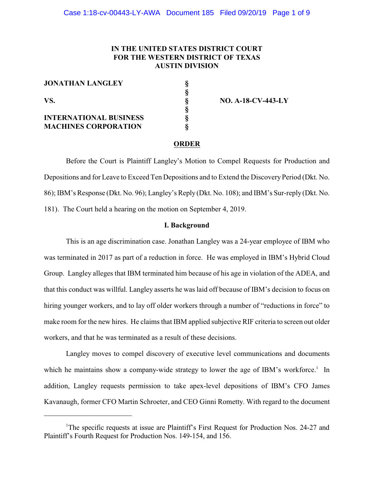## **IN THE UNITED STATES DISTRICT COURT FOR THE WESTERN DISTRICT OF TEXAS AUSTIN DIVISION**

**§**

**§**

**JONATHAN LANGLEY §**

**INTERNATIONAL BUSINESS MACHINES CORPORATION** 

**VS. § NO. A-18-CV-443-LY**

#### **ORDER**

Before the Court is Plaintiff Langley's Motion to Compel Requests for Production and Depositions and for Leave to Exceed Ten Depositions and to Extend the Discovery Period (Dkt. No. 86); IBM's Response (Dkt. No. 96); Langley's Reply (Dkt. No. 108); and IBM's Sur-reply (Dkt. No. 181). The Court held a hearing on the motion on September 4, 2019.

## **I. Background**

This is an age discrimination case. Jonathan Langley was a 24-year employee of IBM who was terminated in 2017 as part of a reduction in force. He was employed in IBM's Hybrid Cloud Group. Langley alleges that IBM terminated him because of his age in violation of the ADEA, and that this conduct was willful. Langley asserts he was laid off because of IBM's decision to focus on hiring younger workers, and to lay off older workers through a number of "reductions in force" to make room for the new hires. He claims that IBM applied subjective RIF criteria to screen out older workers, and that he was terminated as a result of these decisions.

Langley moves to compel discovery of executive level communications and documents which he maintains show a company-wide strategy to lower the age of IBM's workforce.<sup>1</sup> In addition, Langley requests permission to take apex-level depositions of IBM's CFO James Kavanaugh, former CFO Martin Schroeter, and CEO Ginni Rometty. With regard to the document

<sup>&</sup>lt;sup>1</sup>The specific requests at issue are Plaintiff's First Request for Production Nos. 24-27 and Plaintiff's Fourth Request for Production Nos. 149-154, and 156.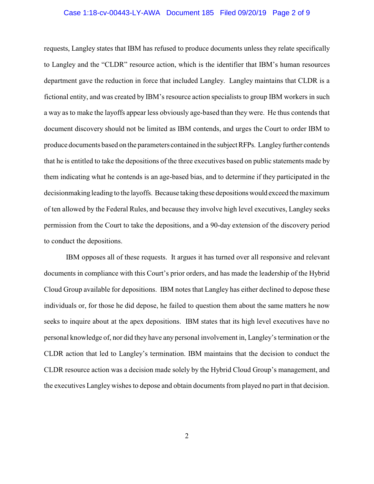#### Case 1:18-cv-00443-LY-AWA Document 185 Filed 09/20/19 Page 2 of 9

requests, Langley states that IBM has refused to produce documents unless they relate specifically to Langley and the "CLDR" resource action, which is the identifier that IBM's human resources department gave the reduction in force that included Langley. Langley maintains that CLDR is a fictional entity, and was created by IBM's resource action specialists to group IBM workers in such a way as to make the layoffs appear less obviously age-based than they were. He thus contends that document discovery should not be limited as IBM contends, and urges the Court to order IBM to produce documents based on the parameters contained in the subject RFPs. Langley further contends that he is entitled to take the depositions of the three executives based on public statements made by them indicating what he contends is an age-based bias, and to determine if they participated in the decisionmaking leading to the layoffs. Because taking these depositionswould exceed the maximum of ten allowed by the Federal Rules, and because they involve high level executives, Langley seeks permission from the Court to take the depositions, and a 90-day extension of the discovery period to conduct the depositions.

IBM opposes all of these requests. It argues it has turned over all responsive and relevant documents in compliance with this Court's prior orders, and has made the leadership of the Hybrid Cloud Group available for depositions. IBM notes that Langley has either declined to depose these individuals or, for those he did depose, he failed to question them about the same matters he now seeks to inquire about at the apex depositions. IBM states that its high level executives have no personal knowledge of, nor did they have any personal involvement in, Langley's termination or the CLDR action that led to Langley's termination. IBM maintains that the decision to conduct the CLDR resource action was a decision made solely by the Hybrid Cloud Group's management, and the executives Langley wishes to depose and obtain documents from played no part in that decision.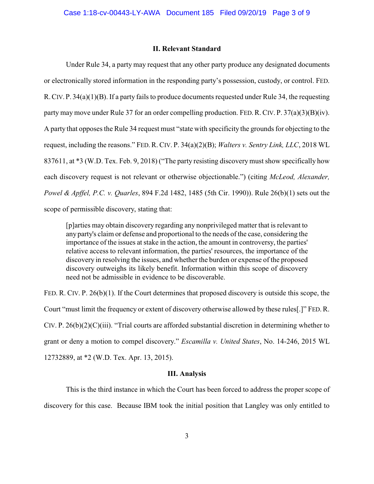#### **II. Relevant Standard**

Under Rule 34, a party may request that any other party produce any designated documents or electronically stored information in the responding party's possession, custody, or control. FED. R.CIV.P. 34(a)(1)(B). If a party fails to produce documents requested under Rule 34, the requesting party may move under Rule 37 for an order compelling production. FED. R. CIV. P.  $37(a)(3)(B)(iv)$ . A party that opposes the Rule 34 request must "state with specificity the grounds for objecting to the request, including the reasons." FED.R. CIV. P. 34(a)(2)(B); *Walters v. Sentry Link, LLC*, 2018 WL 837611, at \*3 (W.D. Tex. Feb. 9, 2018) ("The party resisting discovery must show specifically how each discovery request is not relevant or otherwise objectionable.") (citing *McLeod, Alexander, Powel & Apffel, P.C. v. Quarles*, 894 F.2d 1482, 1485 (5th Cir. 1990)). Rule 26(b)(1) sets out the scope of permissible discovery, stating that:

[p]arties may obtain discovery regarding any nonprivileged matter that is relevant to any party's claim or defense and proportional to the needs of the case, considering the importance of the issues at stake in the action, the amount in controversy, the parties' relative access to relevant information, the parties' resources, the importance of the discovery in resolving the issues, and whether the burden or expense of the proposed discovery outweighs its likely benefit. Information within this scope of discovery need not be admissible in evidence to be discoverable.

FED. R. CIV. P. 26(b)(1). If the Court determines that proposed discovery is outside this scope, the Court "must limit the frequency or extent of discovery otherwise allowed by these rules[.]" FED.R. CIV. P. 26(b)(2)(C)(iii). "Trial courts are afforded substantial discretion in determining whether to grant or deny a motion to compel discovery." *Escamilla v. United States*, No. 14-246, 2015 WL 12732889, at \*2 (W.D. Tex. Apr. 13, 2015).

## **III. Analysis**

This is the third instance in which the Court has been forced to address the proper scope of discovery for this case. Because IBM took the initial position that Langley was only entitled to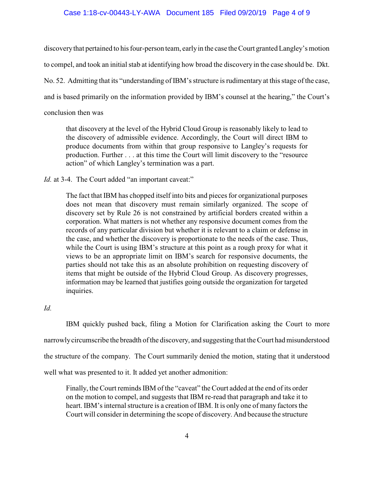## Case 1:18-cv-00443-LY-AWA Document 185 Filed 09/20/19 Page 4 of 9

discoverythat pertained to his four-person team, earlyin the case theCourt granted Langley's motion to compel, and took an initial stab at identifying how broad the discovery in the case should be. Dkt. No. 52. Admitting that its "understanding of IBM's structure is rudimentary at this stage of the case, and is based primarily on the information provided by IBM's counsel at the hearing," the Court's conclusion then was

that discovery at the level of the Hybrid Cloud Group is reasonably likely to lead to the discovery of admissible evidence. Accordingly, the Court will direct IBM to produce documents from within that group responsive to Langley's requests for production. Further . . . at this time the Court will limit discovery to the "resource action" of which Langley's termination was a part.

*Id.* at 3-4. The Court added "an important caveat:"

The fact that IBM has chopped itself into bits and pieces for organizational purposes does not mean that discovery must remain similarly organized. The scope of discovery set by Rule 26 is not constrained by artificial borders created within a corporation. What matters is not whether any responsive document comes from the records of any particular division but whether it is relevant to a claim or defense in the case, and whether the discovery is proportionate to the needs of the case. Thus, while the Court is using IBM's structure at this point as a rough proxy for what it views to be an appropriate limit on IBM's search for responsive documents, the parties should not take this as an absolute prohibition on requesting discovery of items that might be outside of the Hybrid Cloud Group. As discovery progresses, information may be learned that justifies going outside the organization for targeted inquiries.

*Id.*

IBM quickly pushed back, filing a Motion for Clarification asking the Court to more narrowlycircumscribe the breadth of the discovery, and suggesting that the Court had misunderstood the structure of the company. The Court summarily denied the motion, stating that it understood well what was presented to it. It added yet another admonition:

Finally, the Court reminds IBM of the "caveat" the Court added at the end of its order on the motion to compel, and suggests that IBM re-read that paragraph and take it to heart. IBM's internal structure is a creation of IBM. It is only one of many factors the Court will consider in determining the scope of discovery. And because the structure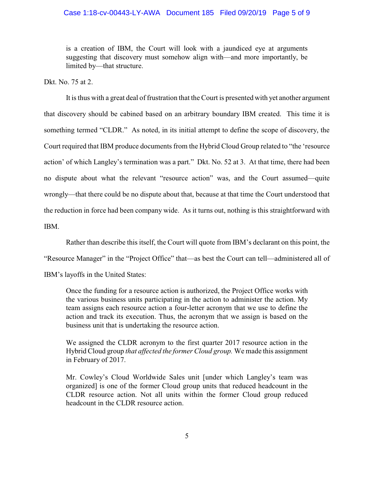## Case 1:18-cv-00443-LY-AWA Document 185 Filed 09/20/19 Page 5 of 9

is a creation of IBM, the Court will look with a jaundiced eye at arguments suggesting that discovery must somehow align with—and more importantly, be limited by—that structure.

Dkt. No. 75 at 2.

It is thus with a great deal of frustration that the Court is presented with yet another argument that discovery should be cabined based on an arbitrary boundary IBM created. This time it is something termed "CLDR." As noted, in its initial attempt to define the scope of discovery, the Court required that IBM produce documents from the Hybrid Cloud Group related to "the 'resource action' of which Langley's termination was a part." Dkt. No. 52 at 3. At that time, there had been no dispute about what the relevant "resource action" was, and the Court assumed—quite wrongly—that there could be no dispute about that, because at that time the Court understood that the reduction in force had been company wide. As it turns out, nothing is this straightforward with IBM.

Rather than describe this itself, the Court will quote from IBM's declarant on this point, the "Resource Manager" in the "Project Office" that—as best the Court can tell—administered all of IBM's layoffs in the United States:

Once the funding for a resource action is authorized, the Project Office works with the various business units participating in the action to administer the action. My team assigns each resource action a four-letter acronym that we use to define the action and track its execution. Thus, the acronym that we assign is based on the business unit that is undertaking the resource action.

We assigned the CLDR acronym to the first quarter 2017 resource action in the Hybrid Cloud group *that affected the former Cloud group.* We made this assignment in February of 2017.

Mr. Cowley's Cloud Worldwide Sales unit [under which Langley's team was organized] is one of the former Cloud group units that reduced headcount in the CLDR resource action. Not all units within the former Cloud group reduced headcount in the CLDR resource action.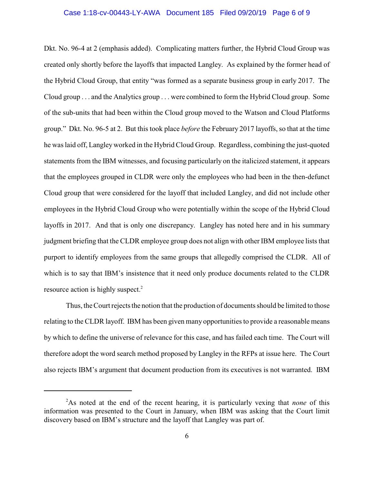#### Case 1:18-cv-00443-LY-AWA Document 185 Filed 09/20/19 Page 6 of 9

Dkt. No. 96-4 at 2 (emphasis added). Complicating matters further, the Hybrid Cloud Group was created only shortly before the layoffs that impacted Langley. As explained by the former head of the Hybrid Cloud Group, that entity "was formed as a separate business group in early 2017. The Cloud group . . . and the Analytics group . . . were combined to form the Hybrid Cloud group. Some of the sub-units that had been within the Cloud group moved to the Watson and Cloud Platforms group." Dkt. No. 96-5 at 2. But this took place *before* the February 2017 layoffs, so that at the time he was laid off, Langleyworked in the Hybrid Cloud Group. Regardless, combining the just-quoted statements from the IBM witnesses, and focusing particularly on the italicized statement, it appears that the employees grouped in CLDR were only the employees who had been in the then-defunct Cloud group that were considered for the layoff that included Langley, and did not include other employees in the Hybrid Cloud Group who were potentially within the scope of the Hybrid Cloud layoffs in 2017. And that is only one discrepancy. Langley has noted here and in his summary judgment briefing that the CLDR employee group does not align with other IBM employee lists that purport to identify employees from the same groups that allegedly comprised the CLDR. All of which is to say that IBM's insistence that it need only produce documents related to the CLDR resource action is highly suspect.<sup>2</sup>

Thus, the Court rejects the notion that the production of documents should be limited to those relating to the CLDR layoff. IBM has been given many opportunities to provide a reasonable means by which to define the universe of relevance for this case, and has failed each time. The Court will therefore adopt the word search method proposed by Langley in the RFPs at issue here. The Court also rejects IBM's argument that document production from its executives is not warranted. IBM

<sup>2</sup>As noted at the end of the recent hearing, it is particularly vexing that *none* of this information was presented to the Court in January, when IBM was asking that the Court limit discovery based on IBM's structure and the layoff that Langley was part of.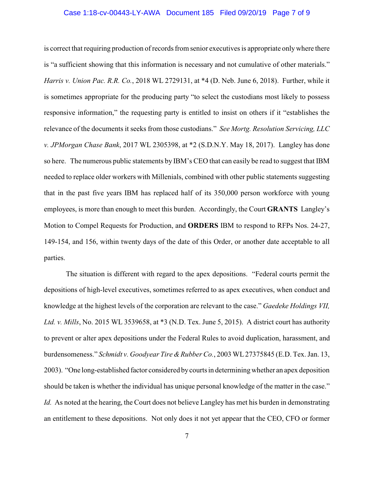## Case 1:18-cv-00443-LY-AWA Document 185 Filed 09/20/19 Page 7 of 9

is correct that requiring production of records from senior executives is appropriate onlywhere there is "a sufficient showing that this information is necessary and not cumulative of other materials." *Harris v. Union Pac. R.R. Co.*, 2018 WL 2729131, at \*4 (D. Neb. June 6, 2018). Further, while it is sometimes appropriate for the producing party "to select the custodians most likely to possess responsive information," the requesting party is entitled to insist on others if it "establishes the relevance of the documents it seeks from those custodians." *See Mortg. Resolution Servicing, LLC v. JPMorgan Chase Bank*, 2017 WL 2305398, at \*2 (S.D.N.Y. May 18, 2017). Langley has done so here. The numerous public statements by IBM's CEO that can easily be read to suggest that IBM needed to replace older workers with Millenials, combined with other public statements suggesting that in the past five years IBM has replaced half of its 350,000 person workforce with young employees, is more than enough to meet this burden. Accordingly, the Court **GRANTS** Langley's Motion to Compel Requests for Production, and **ORDERS** IBM to respond to RFPs Nos. 24-27, 149-154, and 156, within twenty days of the date of this Order, or another date acceptable to all parties.

The situation is different with regard to the apex depositions. "Federal courts permit the depositions of high-level executives, sometimes referred to as apex executives, when conduct and knowledge at the highest levels of the corporation are relevant to the case." *Gaedeke Holdings VII, Ltd. v. Mills*, No. 2015 WL 3539658, at \*3 (N.D. Tex. June 5, 2015). A district court has authority to prevent or alter apex depositions under the Federal Rules to avoid duplication, harassment, and burdensomeness." *Schmidt v. Goodyear Tire & Rubber Co.*, 2003 WL 27375845 (E.D. Tex. Jan. 13, 2003). "One long-established factor considered bycourts in determiningwhether an apex deposition should be taken is whether the individual has unique personal knowledge of the matter in the case." *Id.* As noted at the hearing, the Court does not believe Langley has met his burden in demonstrating an entitlement to these depositions. Not only does it not yet appear that the CEO, CFO or former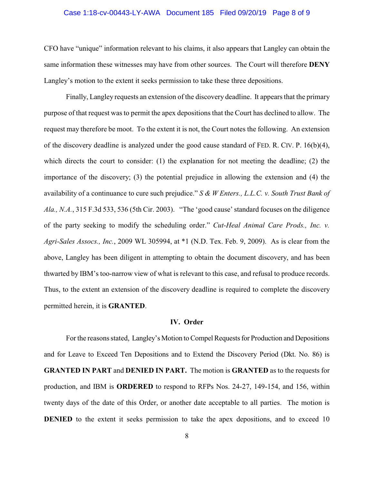## Case 1:18-cv-00443-LY-AWA Document 185 Filed 09/20/19 Page 8 of 9

CFO have "unique" information relevant to his claims, it also appears that Langley can obtain the same information these witnesses may have from other sources. The Court will therefore **DENY** Langley's motion to the extent it seeks permission to take these three depositions.

Finally, Langley requests an extension of the discovery deadline. It appears that the primary purpose of that request was to permit the apex depositions that the Court has declined to allow. The request may therefore be moot. To the extent it is not, the Court notes the following. An extension of the discovery deadline is analyzed under the good cause standard of FED. R. CIV. P. 16(b)(4), which directs the court to consider: (1) the explanation for not meeting the deadline; (2) the importance of the discovery; (3) the potential prejudice in allowing the extension and (4) the availability of a continuance to cure such prejudice." *S & W Enters., L.L.C. v. South Trust Bank of Ala., N.A.*, 315 F.3d 533, 536 (5th Cir. 2003). "The 'good cause' standard focuses on the diligence of the party seeking to modify the scheduling order." *Cut-Heal Animal Care Prods., Inc. v. Agri-Sales Assocs., Inc.*, 2009 WL 305994, at \*1 (N.D. Tex. Feb. 9, 2009). As is clear from the above, Langley has been diligent in attempting to obtain the document discovery, and has been thwarted by IBM's too-narrow view of what is relevant to this case, and refusal to produce records. Thus, to the extent an extension of the discovery deadline is required to complete the discovery permitted herein, it is **GRANTED**.

#### **IV. Order**

For the reasons stated, Langley's Motion to Compel Requests for Production and Depositions and for Leave to Exceed Ten Depositions and to Extend the Discovery Period (Dkt. No. 86) is **GRANTED IN PART** and **DENIED IN PART.** The motion is **GRANTED** as to the requests for production, and IBM is **ORDERED** to respond to RFPs Nos. 24-27, 149-154, and 156, within twenty days of the date of this Order, or another date acceptable to all parties. The motion is **DENIED** to the extent it seeks permission to take the apex depositions, and to exceed 10